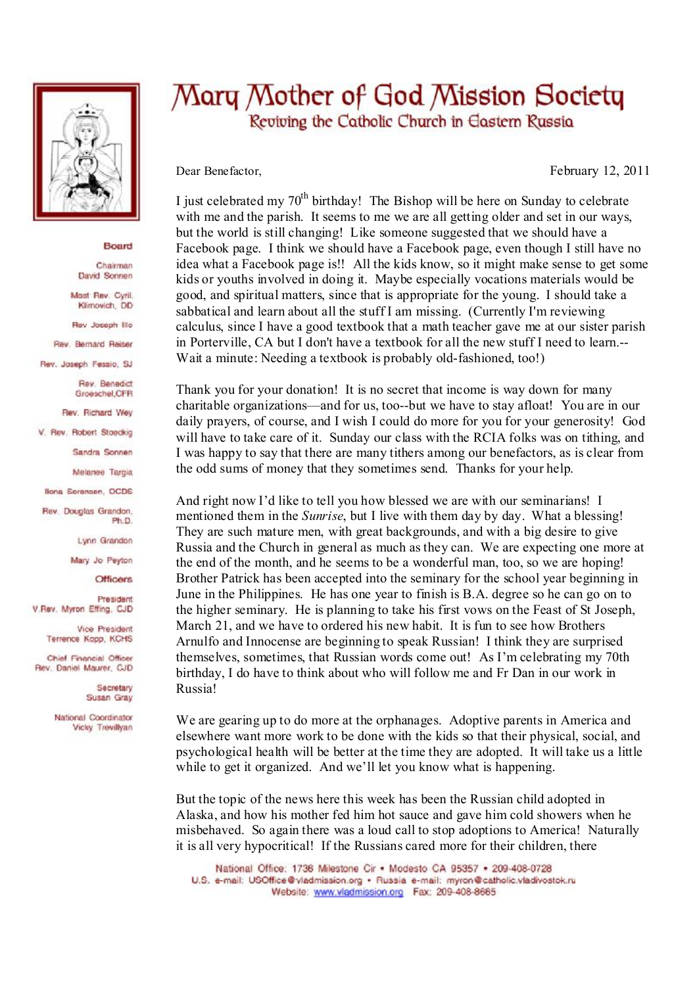

## Board

Chairman David Sonnen

Mast Rev. Cyril. Klimovich, DD

Rev Joseph Illo

Rev. Bernard Reiser

Rev. Joseph Fessio, SJ

Rev. Benedict Groeschel, CFR

Rev. Richard Wey

V. Rev. Robert Stoeckig

Sandra Sonnen

Melanee Taroia

**Ilona Sorensen, OCDS** 

Rev. Douglas Grandon. Ph.D.

Lynn Grandon

Mary Jo Peyton

**Officers** 

President V.Rev. Myron Effing, CJD

> Vice President Terrence Kopp, KCHS

Chief Financial Officer Rev. Daniel Maurer, CJD

> Secretary Susan Gray

National Coordinator Vicky Trevillyan

## Mary Mother of God Mission Society Reviving the Catholic Church in Eastern Russia

Dear Benefactor,

February 12, 2011

I iust celebrated my  $70^{th}$  birthday! The Bishop will be here on Sunday to celebrate with me and the parish. It seems to me we are all getting older and set in our ways, but the world is still changing! Like someone suggested that we should have a Facebook page. I think we should have a Facebook page, even though I still have no idea what a Facebook page is!! All the kids know, so it might make sense to get some kids or youths involved in doing it. Maybe especially vocations materials would be good, and spiritual matters, since that is appropriate for the young. I should take a sabbatical and learn about all the stuff I am missing. (Currently I'm reviewing calculus, since I have a good textbook that a math teacher gave me at our sister parish in Porterville, CA but I don't have a textbook for all the new stuff I need to learn.--Wait a minute: Needing a textbook is probably old-fashioned, too!)

Thank you for your donation! It is no secret that income is way down for many charitable organizations—and for us, too--but we have to stay afloat! You are in our daily prayers, of course, and I wish I could do more for you for your generosity! God will have to take care of it. Sunday our class with the RCIA folks was on tithing, and I was happy to say that there are many tithers among our benefactors, as is clear from the odd sums of money that they sometimes send. Thanks for your help.

And right now I'd like to tell you how blessed we are with our seminarians! I mentioned them in the *Sunrise*, but I live with them day by day. What a blessing! They are such mature men, with great backgrounds, and with a big desire to give Russia and the Church in general as much as they can. We are expecting one more at the end of the month, and he seems to be a wonderful man, too, so we are hoping! Brother Patrick has been accepted into the seminary for the school year beginning in June in the Philippines. He has one year to finish is B.A. degree so he can go on to the higher seminary. He is planning to take his first vows on the Feast of St Joseph, March 21, and we have to ordered his new habit. It is fun to see how Brothers Arnulfo and Innocense are beginning to speak Russian! I think they are surprised themselves, sometimes, that Russian words come out! As I'm celebrating my 70th birthday, I do have to think about who will follow me and Fr Dan in our work in **Russia!** 

We are gearing up to do more at the orphanages. Adoptive parents in America and elsewhere want more work to be done with the kids so that their physical, social, and psychological health will be better at the time they are adopted. It will take us a little while to get it organized. And we'll let you know what is happening.

But the topic of the news here this week has been the Russian child adopted in Alaska, and how his mother fed him hot sauce and gave him cold showers when he misbehaved. So again there was a loud call to stop adoptions to America! Naturally it is all very hypocritical! If the Russians cared more for their children, there

National Office: 1736 Milestone Cir . Modesto CA 95357 . 209-408-0728 U.S. e-mail: USOffice@vladmission.org · Russia e-mail: myron@catholic.vladivostok.ru Website: www.vladmission.org Fax: 209-408-8665